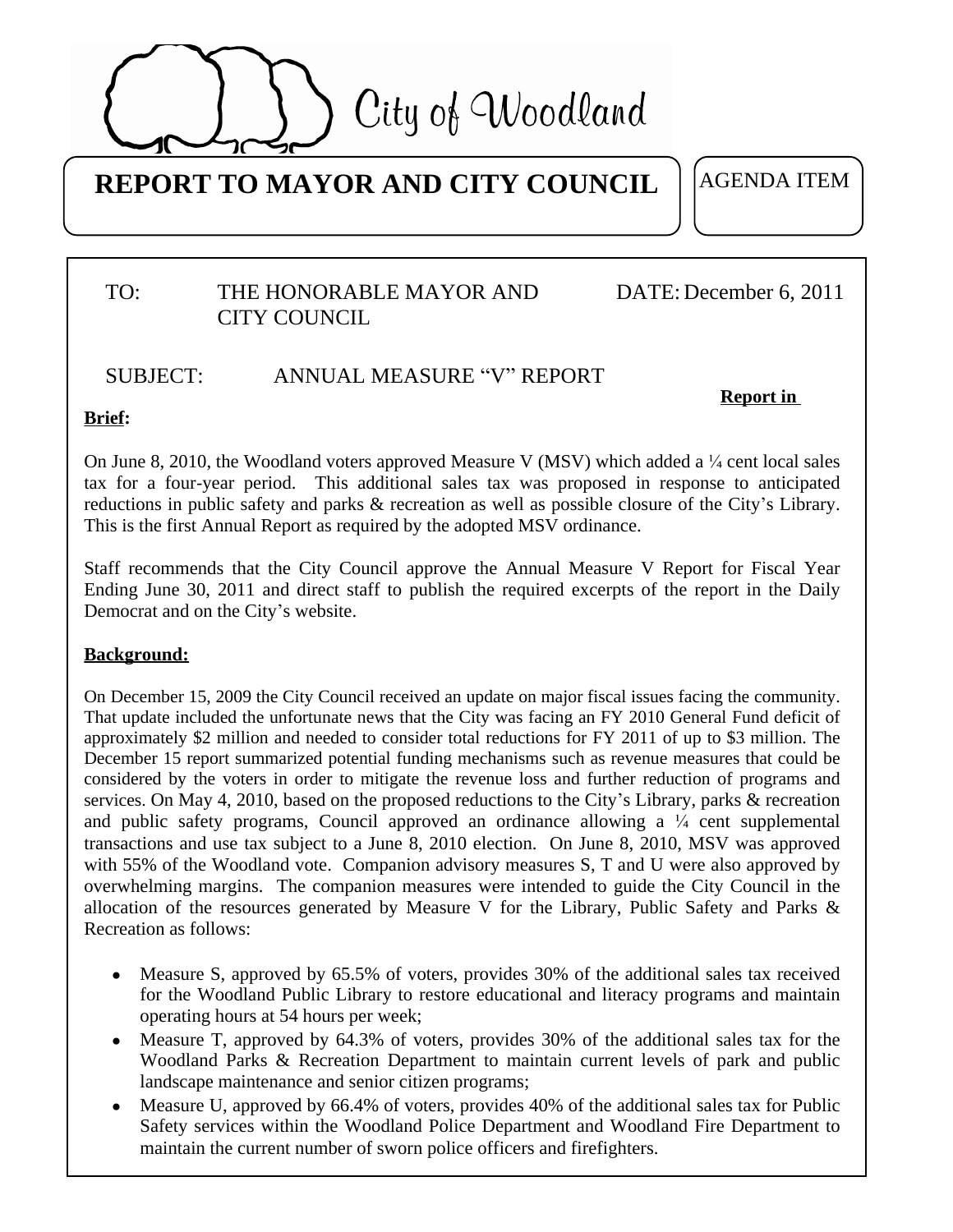

# **REPORT TO MAYOR AND CITY COUNCIL**

AGENDA ITEM

# TO: THE HONORABLE MAYOR AND DATE: CITY COUNCIL

# DATE: December 6, 2011

#### SUBJECT: ANNUAL MEASURE "V" REPORT

**Report in** 

### **Brief:**

On June 8, 2010, the Woodland voters approved Measure V (MSV) which added a  $\frac{1}{4}$  cent local sales tax for a four-year period. This additional sales tax was proposed in response to anticipated reductions in public safety and parks & recreation as well as possible closure of the City's Library. This is the first Annual Report as required by the adopted MSV ordinance.

Staff recommends that the City Council approve the Annual Measure V Report for Fiscal Year Ending June 30, 2011 and direct staff to publish the required excerpts of the report in the Daily Democrat and on the City's website.

### **Background:**

On December 15, 2009 the City Council received an update on major fiscal issues facing the community. That update included the unfortunate news that the City was facing an FY 2010 General Fund deficit of approximately \$2 million and needed to consider total reductions for FY 2011 of up to \$3 million. The December 15 report summarized potential funding mechanisms such as revenue measures that could be considered by the voters in order to mitigate the revenue loss and further reduction of programs and services. On May 4, 2010, based on the proposed reductions to the City's Library, parks & recreation and public safety programs, Council approved an ordinance allowing a  $\frac{1}{4}$  cent supplemental transactions and use tax subject to a June 8, 2010 election. On June 8, 2010, MSV was approved with 55% of the Woodland vote. Companion advisory measures S, T and U were also approved by overwhelming margins. The companion measures were intended to guide the City Council in the allocation of the resources generated by Measure V for the Library, Public Safety and Parks & Recreation as follows:

- Measure S, approved by 65.5% of voters, provides 30% of the additional sales tax received for the Woodland Public Library to restore educational and literacy programs and maintain operating hours at 54 hours per week;
- Measure T, approved by 64.3% of voters, provides 30% of the additional sales tax for the Woodland Parks & Recreation Department to maintain current levels of park and public landscape maintenance and senior citizen programs;
- Measure U, approved by 66.4% of voters, provides 40% of the additional sales tax for Public Safety services within the Woodland Police Department and Woodland Fire Department to maintain the current number of sworn police officers and firefighters.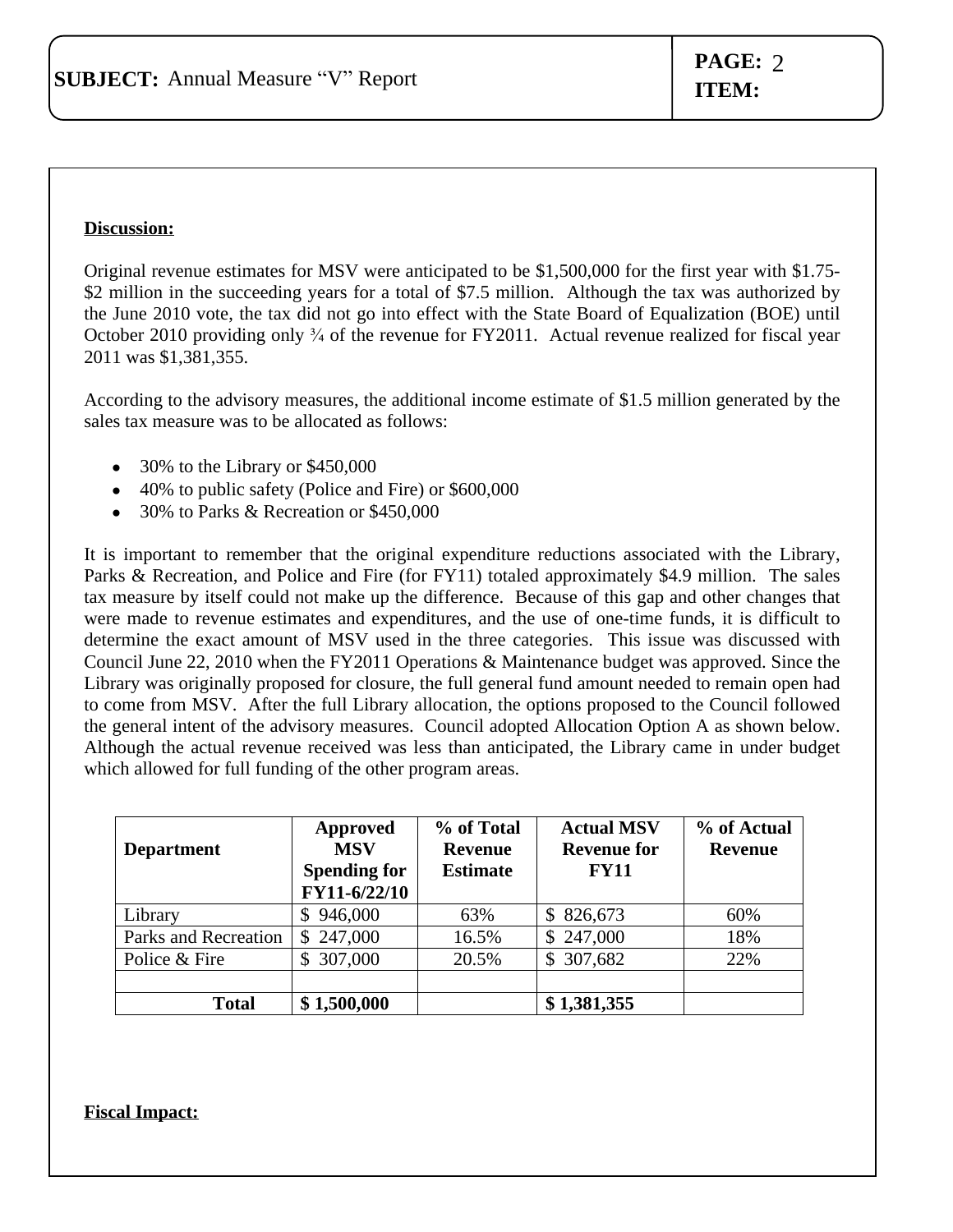#### **Discussion:**

Original revenue estimates for MSV were anticipated to be \$1,500,000 for the first year with \$1.75- \$2 million in the succeeding years for a total of \$7.5 million. Although the tax was authorized by the June 2010 vote, the tax did not go into effect with the State Board of Equalization (BOE) until October 2010 providing only <sup>3</sup>/<sub>4</sub> of the revenue for FY2011. Actual revenue realized for fiscal year 2011 was \$1,381,355.

According to the advisory measures, the additional income estimate of \$1.5 million generated by the sales tax measure was to be allocated as follows:

- 30% to the Library or \$450,000
- 40% to public safety (Police and Fire) or \$600,000
- 30% to Parks & Recreation or \$450,000

It is important to remember that the original expenditure reductions associated with the Library, Parks & Recreation, and Police and Fire (for FY11) totaled approximately \$4.9 million. The sales tax measure by itself could not make up the difference. Because of this gap and other changes that were made to revenue estimates and expenditures, and the use of one-time funds, it is difficult to determine the exact amount of MSV used in the three categories. This issue was discussed with Council June 22, 2010 when the FY2011 Operations & Maintenance budget was approved. Since the Library was originally proposed for closure, the full general fund amount needed to remain open had to come from MSV. After the full Library allocation, the options proposed to the Council followed the general intent of the advisory measures. Council adopted Allocation Option A as shown below. Although the actual revenue received was less than anticipated, the Library came in under budget which allowed for full funding of the other program areas.

| <b>Department</b>    | Approved<br><b>MSV</b><br><b>Spending for</b><br>FY11-6/22/10 | % of Total<br><b>Revenue</b><br><b>Estimate</b> | <b>Actual MSV</b><br><b>Revenue for</b><br><b>FY11</b> | % of Actual<br><b>Revenue</b> |
|----------------------|---------------------------------------------------------------|-------------------------------------------------|--------------------------------------------------------|-------------------------------|
| Library              | 946,000<br>\$                                                 | 63%                                             | \$826,673                                              | 60%                           |
| Parks and Recreation | \$247,000                                                     | 16.5%                                           | \$247,000                                              | 18%                           |
| Police & Fire        | 307,000<br><sup>\$</sup>                                      | 20.5%                                           | \$307,682                                              | 22%                           |
|                      |                                                               |                                                 |                                                        |                               |
| <b>Total</b>         | \$1,500,000                                                   |                                                 | \$1,381,355                                            |                               |

**Fiscal Impact:**